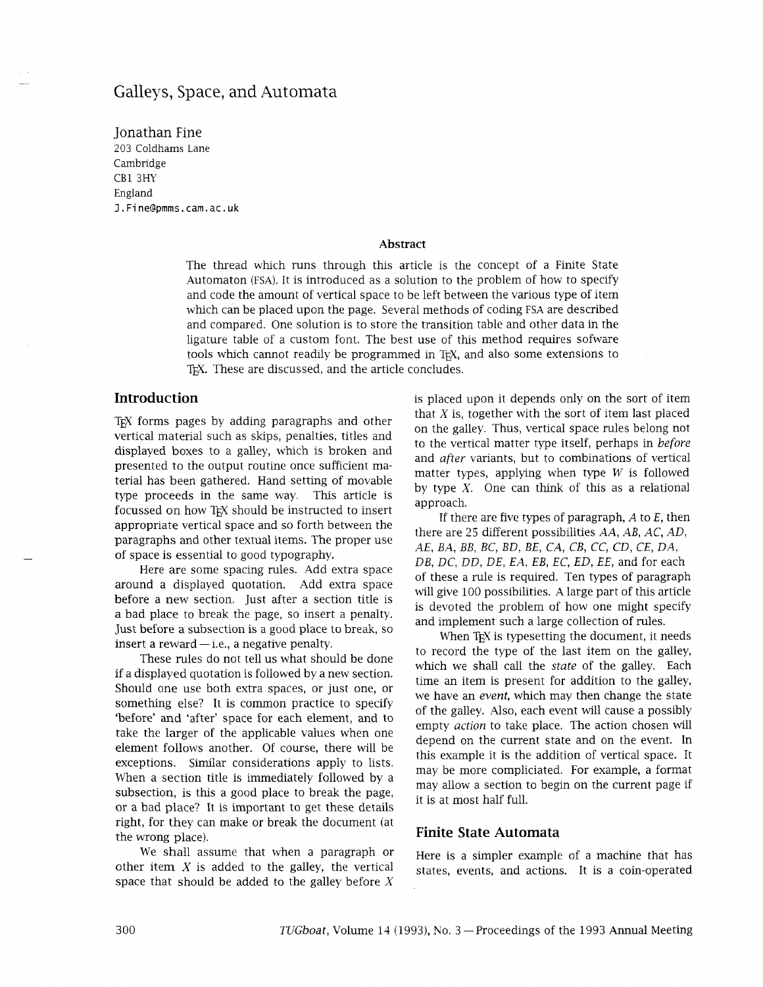# Galleys, Space, and Automata

Jonathan Fine 203 Coldhams Lane Cambridge CB1 3HY England **l.Fine@pmms.cam.ac.uk** 

#### **Abstract**

The thread which runs through this article is the concept of a Finite State Automaton (FSA). It is introduced as a solution to the problem of how to specify and code the amount of vertical space to be left between the various type of item which can be placed upon the page. Several methods of coding FSA are described and compared. One solution is to store the transition table and other data in the ligature table of a custom font. The best use of this method requires sofware tools which cannot readily be programmed in TEX, and also some extensions to TEX. These are discussed, and the article concludes.

## **Introduction**

TEX forms pages by adding paragraphs and other vertical material such as skips, penalties, titles and displayed boxes to a galley, which is broken and presented to the output routine once sufficient material has been gathered. Hand setting of movable type proceeds in the same way. This article is focussed on how T<sub>EX</sub> should be instructed to insert appropriate vertical space and so forth between the paragraphs and other textual items. The proper use of space is essential to good typography.

Here are some spacing rules. Add extra space around a displayed quotation. Add extra space before a new section. Just after a section title is a bad place to break the page, so insert a penalty. Just before a subsection is a good place to break, so insert a reward  $-$  i.e., a negative penalty.

These rules do not tell us what should be done if a displayed quotation is followed by a new section. Should one use both extra spaces, or just one, or something else? It is common practice to specify 'before' and 'after' space for each element, and to take the larger of the applicable values when one element follows another. Of course, there will be exceptions. Similar considerations apply to lists. When a section title is immediately followed by a subsection, is this a good place to break the page, or a bad place? It is important to get these details right, for they can make or break the document (at the wrong place).

We shall assume that when a paragraph or other item  $X$  is added to the galley, the vertical space that should be added to the galley before  $X$ 

is placed upon it depends only on the sort of item that  $X$  is, together with the sort of item last placed on the galley. Thus, vertical space rules belong not to the vertical matter type itself, perhaps in *before*  and *after* variants, but to combinations of vertical matter types, applying when type  $W$  is followed by type  $X$ . One can think of this as a relational approach.

If there are five types of paragraph, *A* to *E,* then there are 25 different possibilities *AA, AB, AC, AD, A E , B A , BB, BC, BD, BE, CA, CB, CC, CD, CE, DA, DB, DC, DD, DE, EA, EB, EC, ED, EE,* and for each of these a rule is required. Ten types of paragraph will give 100 possibilities. A large part of this article is devoted the problem of how one might specify and implement such a large collection of rules.

When T<sub>E</sub>X is typesetting the document, it needs to record the type of the last item on the galley, which we shall call the *state* of the galley. Each time an item is present for addition to the galley, we have an *evenr,* which may then change the state of the galley. Also, each event will cause a possibly empty *action* to take place. The action chosen will depend on the current state and on the event. In this example it is the addition of vertical space. It may be more compliciated. For example, a format may allow a section to begin on the current page if it is at most half full.

### **Finite State Automata**

Here is a simpler example of a machine that has states, events, and actions. It is a coin-operated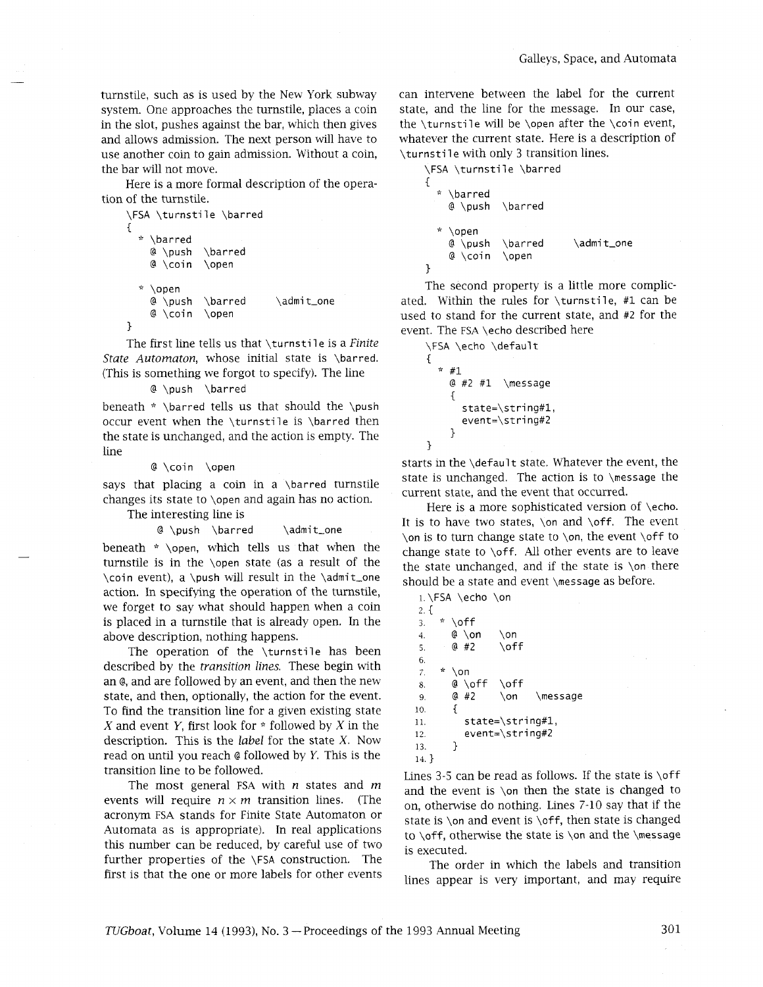turnstile, such as is used by the New York subway system. One approaches the turnstile, places a coin in the slot, pushes against the bar, which then gives and allows admission. The next person will have to use another coin to gain admission. Without a coin, the bar will not move.

Here is a more formal description of the operation of the turnstile.

```
\FSA \turnstile \barred 
{ 
  * \barred 
    @ \push \barred 
    @ \coin \open 
  * \open 
    @ \push \barred \admi t-one 
    @ \coin \open 
3
```
The first line tells us that \turnsti 1 e is a *Finite State Automaton,* whose initial state is \barred. (This is something we forgot to specify). The line

@ \push \barred

beneath  $* \bar{t}$  beneath  $* \bar{t}$ occur event when the \turnstile is \barred then the state is unchanged, and the action is empty. The line

@ \coin \open

says that placing a coin in a  $\bar{u}$  arred turnstile changes its state to \open and again has no action.

The interesting line is

```
@ \push \barred \admit-one
```
beneath \* \open, which tells us that when the turnstile is in the \open state (as a result of the \coin event), a \push will result in the \admit-one action. In specifying the operation of the turnstile, we forget to say what should happen when a coin is placed in a turnstile that is already open. In the above description, nothing happens.

The operation of the \turnstile has been described by the *transition lines.* These begin with an e, and are followed by an event, and then the new state, and then, optionally, the action for the event. To find the transition line for a given existing state X and event Y, first look for  $*$  followed by X in the description. This is the *label* for the state X. Now read on until you reach @ followed by *Y*. This is the transition line to be followed.

The most general FSA with *n* states and *m*  events will require  $n \times m$  transition lines. (The acronym FSA stands for Finite State Automaton or Automata as is appropriate). In real applications this number can be reduced, by careful use of two further properties of the \FSA construction. The first is that the one or more labels for other events can intervene between the label for the current state, and the line for the message. In our case, the \turnstile will be \open after the \coin event, whatever the current state. Here is a description of \turnsti 1 e with only 3 transition lines.

```
\FSA \turnstile \barred 
€
    \barred
    @ \push
              \barred
    \open<br>@ \push
              \barred \admit_one
    @ \coin \open
3
```
The second property is a little more complicated. Within the rules for  $\times$  turnstile, #1 can be used to stand for the current state, and #2 for the event. The FSA \echo described here

```
\FSA \echo \default 
I 
  * #1 
    @ #2 #1 \message 
    { 
       state=\stri ng#l, 
       event=\string#2 
    3
```
*1* 

starts in the \default state. Whatever the event, the state is unchanged. The action is to \message the current state, and the event that occurred.

Here is a more sophisticated version of \echo. It is to have two states, \on and \off. The event \on is to turn change state to \on, the event \off to change state to \off. All other events are to leave the state unchanged, and if the state is \on there should be a state and event \message as before.

i.\FSA \echo \on  $2. \{$ <br> $3.$  $* \circ$ 4. @ \on \on 5.  $@#2$  \off 6. *7.* \* \on 8. @ \off \off 9, @ #2 \on \message 10.  $\frac{1}{3}$ 11. state=\string#1, 12. event=\string#2 13. } 14. )

Lines 3-5 can be read as follows. If the state is  $\of$ ff and the event is \on then the state is changed to on, otherwise do nothing. Lines 7-10 say that if the state is  $\on$  and event is  $\of$ f, then state is changed to  $\of$ , otherwise the state is  $\on$  and the  $\mes_9$ e is executed.

The order in which the labels and transition lines appear is very important, and may require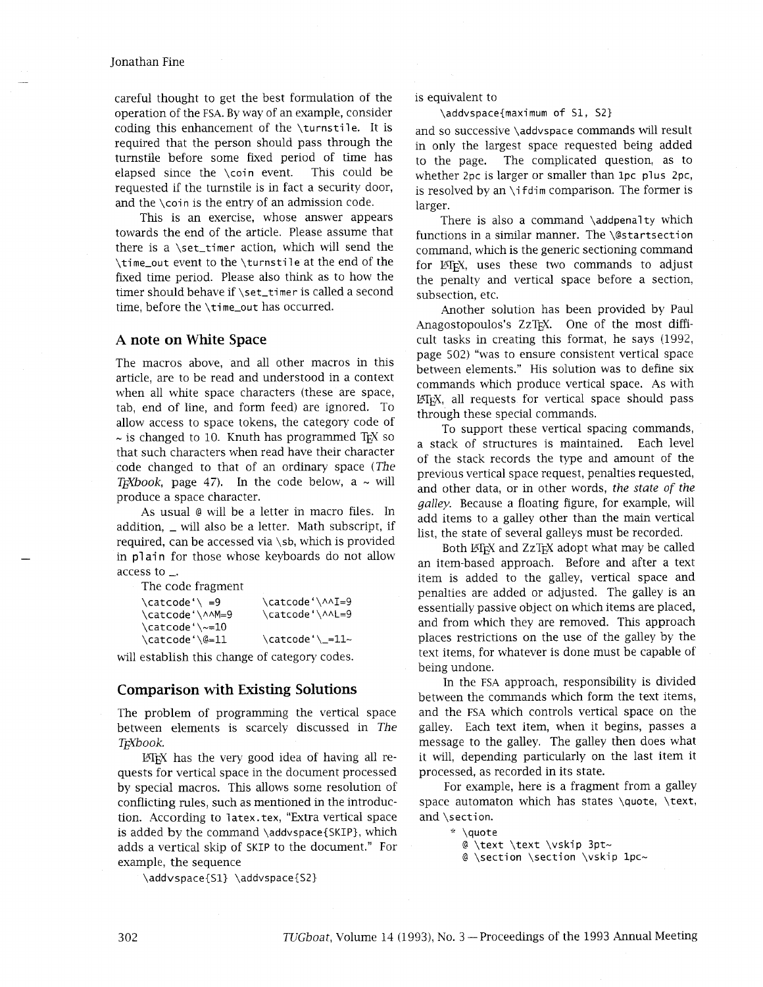#### Jonathan Fine

careful thought to get the best formulation of the operation of the **FSA.** By way of an example, consider coding this enhancement of the  $\times$  turnstile. It is required that the person should pass through the turnstile before some fixed period of time has elapsed since the \coin event. This could be requested if the turnstile is in fact a security door, and the \coin is the entry of an admission code.

This is an exercise, whose answer appears towards the end of the article. Please assume that there is a  $\setminus$ set\_timer action, which will send the \time-out event to the \turnstile at the end of the fixed time period. Please also think as to how the timer should behave if \set\_timer is called a second time, before the \time\_out has occurred.

## **A note on White Space**

The macros above, and all other macros in this article, are to be read and understood in a context when all white space characters (these are space, tab, end of line, and form feed) are ignored. To allow access to space tokens, the category code of  $\sim$  is changed to 10. Knuth has programmed T<sub>E</sub>X so that such characters when read have their character code changed to that of an ordinary space (The T<sub>K</sub>Xbook, page 47). In the code below, a  $\sim$  will produce a space character.

As usual @ will be a letter in macro files. In addition,  $\Box$  will also be a letter. Math subscript, if required, can be accessed via \sb, which is provided in plain for those whose keyboards do not allow access to  $\overline{\phantom{a}}$ .

The code fragment

| \catcode'\ =9       | \catcode'\^^I=9 |
|---------------------|-----------------|
| \catcode'\^^M=9     | \catcode'\^^L=9 |
| $\text{Catcode}' \$ |                 |
| \catcode'\@=11      | \catcode'\_=11~ |
|                     |                 |

will establish this change of category codes.

### **Comparison with Existing Solutions**

The problem of programming the vertical space between elements is scarcely discussed in The T<sub>K</sub>Xbook.

 $\Delta E$ <sub>EX</sub> has the very good idea of having all requests for vertical space in the document processed by special macros. This allows some resolution of conflicting rules, such as mentioned in the introduction. According to latex.tex, "Extra vertical space is added by the command \addvspace{SKIP), which adds a vertical skip of SKIP to the document." For example, the sequence

\addvspace{Sl} \addvspace{SZ)

#### is equivalent to

\addvspace{maximum of S1, SZ}

and so successive \addvspace commands will result in only the largest space requested being added to the page. The complicated question, as to whether 2pc is larger or smaller than 1pc plus 2pc, is resolved by an  $\iota$  if dim comparison. The former is larger.

There is also a command \addpenalty which functions in a similar manner. The *\@startsection* command, which is the generic sectioning command for IAT<sub>E</sub>X, uses these two commands to adjust the penalty and vertical space before a section, subsection, etc.

Another solution has been provided by Paul Anagostopoulos's ZzT<sub>F</sub>X. One of the most difficult tasks in creating ths format, he says (1992, page 502) "was to ensure consistent vertical space between elements." His solution was to define six commands which produce vertical space. As with IAT<sub>F</sub>X, all requests for vertical space should pass through these special commands.

To support these vertical spacing commands, a stack of structures is maintained. Each level of the stack records the type and amount of the previous vertical space request, penalties requested, and other data, or in other words, the state of the galley. Because a floating figure, for example, will add items to a galley other than the main vertical list, the state of several galleys must be recorded.

Both LATEX and ZzTEX adopt what may be called an item-based approach. Before and after a text item is added to the galley, vertical space and penalties are added or adjusted. The galley is an essentially passive object on which items are placed, and from which they are removed. This approach places restrictions on the use of the galley by the text items, for whatever is done must be capable of being undone.

In the **FSA** approach, responsibility is divided between the commands which form the text items, and the **FSA** which controls vertical space on the galley. Each text item, when it begins, passes a message to the galley. The galley then does what it will, depending particularly on the last item it processed, as recorded in its state.

For example, here is a fragment from a galley space automaton which has states \quote, \text, and \section.

;': \quote

@ \text \text \vskip 3pt-

@ \section \section \vskip 1pc~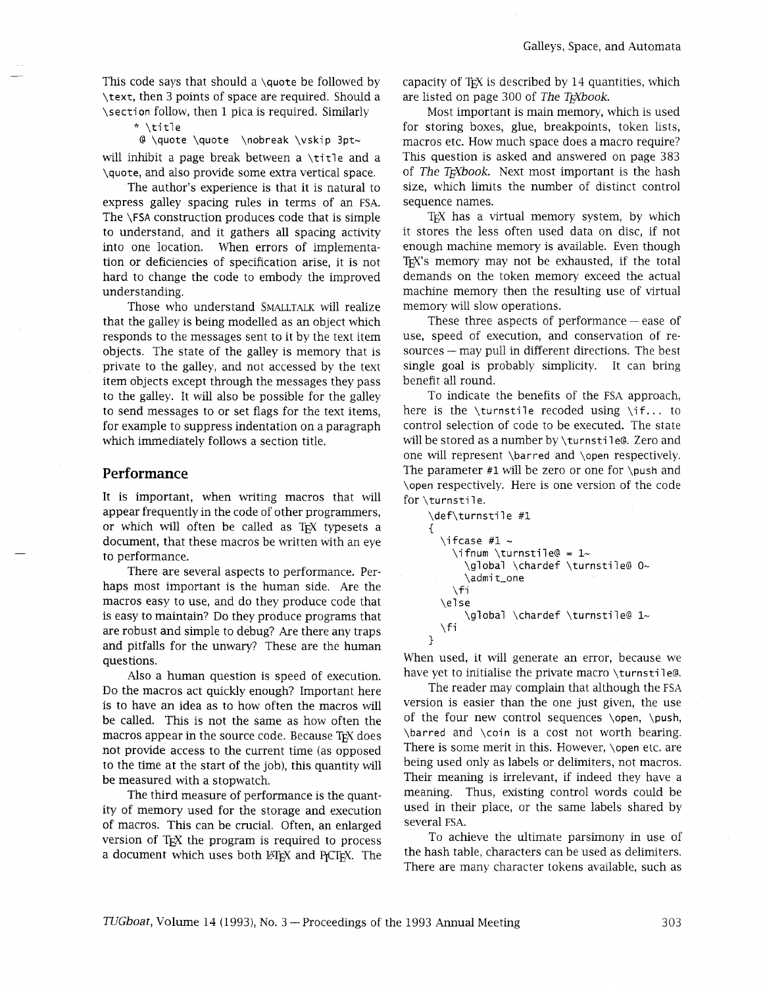This code says that should a \quote be followed by \text, then 3 points of space are required. Should a \section follow, then 1 pica is required. Similarly

#### \* \title

@ \quote \quote \nobreak \vskip 3pt~

will inhibit a page break between a  $\tilde{t}$  and a \quote, and also provide some extra vertical space.

The author's experience is that it is natural to express galley spacing rules in terms of an FSA. The **\FSA** construction produces code that is simple to understand, and it gathers all spacing activity into one location. When errors of implementation or deficiencies of specification arise, it is not hard to change the code to embody the improved understanding.

Those who understand SMALLTALK will realize that the galley is being modelled as an object which responds to the messages sent to it by the text item objects. The state of the galley is memory that is private to the galley, and not accessed by the text item objects except through the messages they pass to the galley. It will also be possible for the galley to send messages to or set flags for the text items, for example to suppress indentation on a paragraph which immediately follows a section title.

### **Performance**

It is important, when writing macros that will appear frequently in the code of other programmers, or which will often be called as TEX typesets a document, that these macros be written with an eye to performance.

There are several aspects to performance. Perhaps most important is the human side. Are the macros easy to use, and do they produce code that is easy to maintain? Do they produce programs that are robust and simple to debug? Are there any traps and pitfalls for the unwary? These are the human questions.

Also a human question is speed of execution. Do the macros act quickly enough? Important here is to have an idea as to how often the macros will be called. This is not the same as how often the macros appear in the source code. Because TEX does not provide access to the current time (as opposed to the time at the start of the job), this quantity will be measured with a stopwatch.

The thrd measure of performance is the quantity of memory used for the storage and execution of macros. This can be crucial. Often, an enlarged version of T<sub>F</sub>X the program is required to process a document which uses both LAT<sub>EX</sub> and P<sub>I</sub>CT<sub>EX</sub>. The capacity of T<sub>F</sub>X is described by 14 quantities, which are listed on page 300 of *The T<sub>E</sub>Xbook*.

Most important is main memory, whlch is used for storing boxes, glue, breakpoints, token lists, macros etc. How much space does a macro require? This question is asked and answered on page 383 of *The T<sub>F</sub>Xbook*. Next most important is the hash size, which limits the number of distinct control sequence names.

T<sub>EX</sub> has a virtual memory system, by which it stores the less often used data on disc, if not enough machine memory is available. Even though TEX'S memory may not be exhausted, if the total demands on the token memory exceed the actual machine memory then the resulting use of virtual memory will slow operations.

These three aspects of performance  $-$  ease of use, speed of execution, and conservation of resources - may pull in different directions. The best single goal is probably simplicity. It can bring benefit all round.

To indicate the benefits of the FSA approach, here is the \turnstile recoded using \if... to control selection of code to be executed. The state will be stored as a number by \turnstile@. Zero and one will represent \barred and \open respectively. The parameter  $#1$  will be zero or one for \push and \open respectively. Here is one version of the code for \turnstile.

```
\def\turnsti le #1 
{ 
  \iota ifcase #1 \sim\ifnum \turnstile@ = 1- 
       \global \chardef \turnsti lee O- 
       \admi t-one 
    \sqrt{fi}\else
       \global \chardef \turnstile@ 1~
  \f i 
3
```
When used, it will generate an error, because we have yet to initialise the private macro \turnstile@.

The reader may complain that although the FSA version is easier than the one just given, the use of the four new control sequences  $\open{\overline{\hspace{0.3cm}}\hspace{0.3cm}}$ \barred and \coin is a cost not worth bearing. There is some merit in this. However, \open etc. are being used only as labels or delimiters, not macros. Their meaning is irrelevant, if indeed they have a meaning. Thus, existing control words could be used in their place, or the same labels shared by several FSA.

To achieve the ultimate parsimony in use of the hash table, characters can be used as delimiters. There are many character tokens available, such as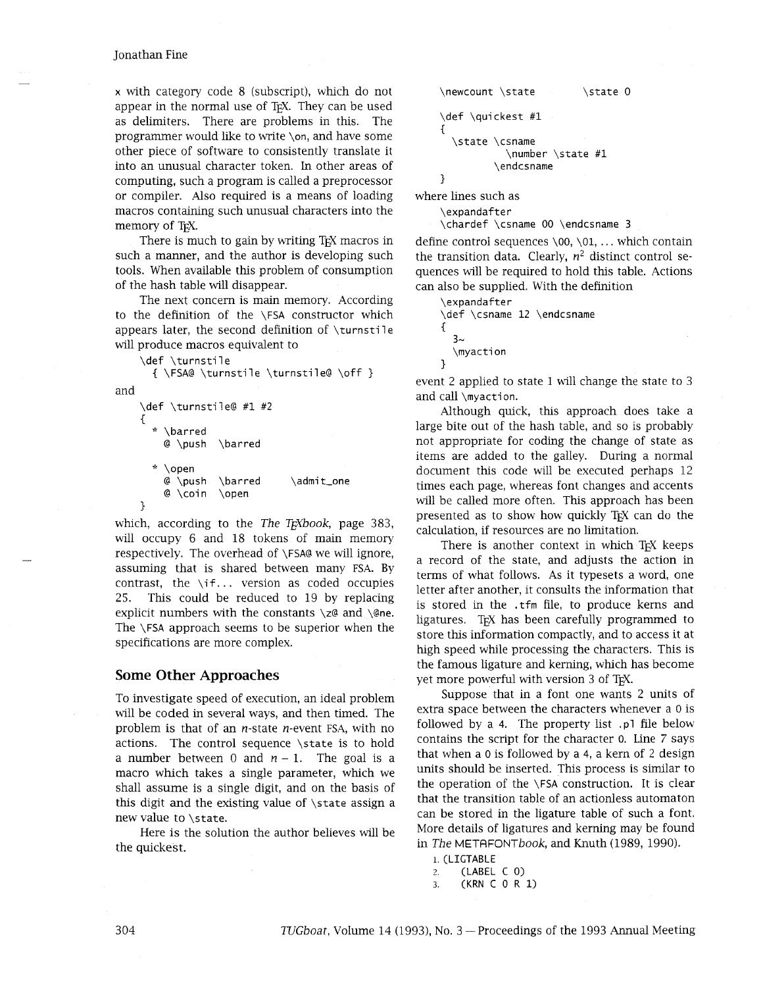### Jonathan Fine

x with category code 8 (subscript), which do not appear in the normal use of TEX. They can be used as delimiters. There are problems in ths. The programmer would like to write \on, and have some other piece of software to consistently translate it into an unusual character token. In other areas of computing, such a program is called a preprocessor or compiler. Also required is a means of loading macros containing such unusual characters into the memory of T<sub>F</sub>X.

There is much to gain by writing T<sub>F</sub>X macros in such a manner, and the author is developing such tools. When available this problem of consumption of the hash table will disappear.

The next concern is main memory. According to the definition of the \FSA constructor whch appears later, the second definition of  $\times$ will produce macros equivalent to

```
\def \turnstile
```

```
{ \FSA@ \turnstile \turnstile@ \off 3
```
and

```
\def \turnstile@ #1 #2 
C 
   \barred
    @ \push \barred 
   ?: \open 
    @ \push \barred \admit-one 
    @ \coin \open 
3
```
which, according to the *The T<sub>F</sub>Xbook*, page 383, will occupy 6 and 18 tokens of main memory respectively. The overhead of \FSA@ we will ignore, assuming that is shared between many FSA. By contrast, the \if.. . version as coded occupies 25. This could be reduced to 19 by replacing explicit numbers with the constants  $\zeta$  and  $\zeta$  and  $\zeta$ The \FSA approach seems to be superior when the specifications are more complex.

### **Some Other Approaches**

To investigate speed of execution, an ideal problem will be coded in several ways, and then timed. The problem is that of an  $n$ -state  $n$ -event FSA, with no actions. The control sequence \state is to hold a number between 0 and  $n - 1$ . The goal is a macro which takes a single parameter, which we shall assume is a single digit, and on the basis of this digit and the existing value of \state assign a new value to \state.

Here is the solution the author believes will be the quickest.

```
\newcount \state
                             \state 0
\def \quickest #1 
\mathcal{L}\state \csname 
             \number \state #1 
           \endcsname 
3
```
where lines such as

\expandafter

\chardef \csname 00 \endcsname 3

define control sequences  $\0$ ,  $0, \ldots$  which contain the transition data. Clearly,  $n^2$  distinct control sequences wdl be required to hold this table. Actions can also be supplied. With the definition

\expandafter \def \csname 12 \endcsname  $\{$  $3\sim$ \myaction  $\mathbf{r}$ 

event 2 applied to state 1 will change the state to 3 and call \myacti on.

Although quick, this approach does take a large bite out of the hash table, and so is probably not appropriate for coding the change of state as items are added to the galley. During a normal document this code will be executed perhaps 12 times each page, whereas font changes and accents will be called more often. This approach has been presented as to show how quickly TEX can do the calculation, if resources are no limitation.

There is another context in which TEX keeps a record of the state, and adjusts the action in terms of what follows. As it typesets a word, one letter after another, it consults the information that is stored in the .tfm file, to produce kerns and ligatures. TEX has been carefully programmed to store this information compactly, and to access it at high speed while processing the characters. This is the famous ligature and kerning, which has become yet more powerful with version 3 of TFX.

Suppose that in a font one wants 2 units of extra space between the characters whenever a 0 is followed by a **4.** The property list .pl file below contains the script for the character 0. Line 7 says that when a 0 is followed by a 4, a kern of 2 design units should be inserted. This process is similar to the operation of the \FSA construction. It is clear that the transition table of an actionless automaton can be stored in the ligature table of such a font. More details of ligatures and kerning may be found in *The METRFONTbook,* and Knuth (1989, 1990).

```
1. (LIGTABLE
```

```
2. (LABEL C 0)
```

```
3. (KRN C 0 R 1)
```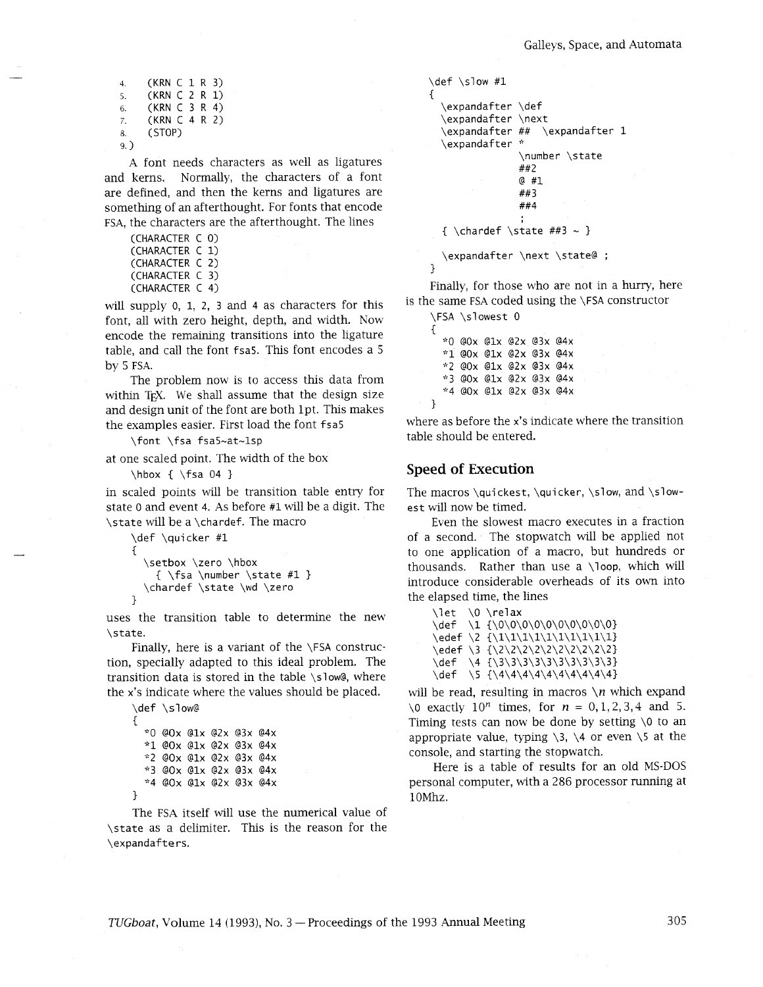4. (KRN C 1 R 3)<br>5. (KRN C 2 R 1) 5. (KRN C 2 R 1)<br>6. (KRN C 3 R 4) 6. (KRN C 3 R 4) 7. (KRN C 4 R 2) 8. (STOP) 9.)

A font needs characters as well as ligatures and kerns. Normally, the characters of a font are defined, and then the kerns and ligatures are something of an afterthought. For fonts that encode FSA, the characters are the afterthought. The lines

```
(CHARACTER C 0) 
(CHARACTER C 1) 
(CHARACTER C 2) 
(CHARACTER C 3) 
(CHARACTER C 4)
```
will supply 0, 1, 2, 3 and 4 as characters for this font, all with zero height, depth, and width. Now encode the remaining transitions into the ligature table, and call the font fsa5. This font encodes a *<sup>5</sup>* by 5 FSA.

The problem now is to access this data from within TEX. We shall assume that the design size and design unit of the font are both lpt. This makes the examples easier. First load the font fsa5

\font \fsa fsa5-at-lsp

at one scaled point. The width of the box

\hbox  $\{ \$ fsa 04 }

in scaled points will be transition table entry for state 0 and event 4. As before #1 will be a digit. The \state will be a \chardef. The macro

```
\def \quicker #1 
{ 
  \setbox \zero \hbox 
    { \fsa \number \state #1 } 
  \chardef \state \wd \zero 
\}
```
uses the transition table to determine the new \state.

Finally, here is a variant of the \FSA construction, specially adapted to this ideal problem. The transition data is stored in the table \slow@, where the x's indicate where the values should be placed.

```
\def \slow@ 
C 
  *0 @0x @1x @2x @3x @4x
  *1 eox e1x e2x e3x e4x 
  "2 eox e1x e2x e3x e4x 
  *3 eox e1x e2x e3x e4x 
  *4 @Ox @1x @2x @3x @4x
1
```
The FSA itself will use the numerical value of \state as a delimiter. This is the reason for the \expandafte rs.

```
\def \slow #1
  \expandafter \def
  \expandafter \next
  \expandafter ##
                  \expandafter 1
  \expandafter *
               \number \state
               ##2
               0#1##3##4\{\ \langle \ \rangle\}\expandafter \next \state@ ;
```
 $\mathbf{\}$ 

Finally, for those who are not in a hurry, here is the same FSA coded using the \FSA constructor

```
\FSA \slowest 0 
\{*O eox e1x e2x e3x e4x 
  "1 eox e1x e2x e3x e4x 
  "2 eox e1x e2x e3x e4x 
  ?(3 eox e1x e2x e3x e4x 
  *4 eox e1x e2x e3x e4x 
1
```
where as before the x's indicate where the transition table should be entered.

### **Speed of Execution**

The macros \quickest, \quicker, \slow, and \slowest will now be timed.

Even the slowest macro executes in a fraction of a second. The stopwatch will be applied not to one application of a macro, but hundreds or thousands. Rather than use a  $\lambda$ loop, which will introduce considerable overheads of its own into the elapsed time, the lines

\let \O \relax idef \1 {\0\0\0\0\0\0\0\0\0\01 \edef \2  ${\{1\1\1\1\1\1\1\1\1}$ \edef \3 {\2\2\2\2\2\2\2\2\2\2\2} \def \4 {\3\3\3\3\3\3\3\3\3\31  $\det \$  \5 {\4\4\4\4\4\4\4\4\4\4\4

will be read, resulting in macros \n which expand \0 exactly 10<sup>n</sup> times, for  $n = 0, 1, 2, 3, 4$  and 5. Timing tests can now be done by setting  $\lozenge$  to an appropriate value, typing  $\3$ ,  $\4$  or even  $\5$  at the console, and starting the stopwatch.

Here is a table of results for an old MS-DOS personal computer, with a 286 processor running at 1OMhz.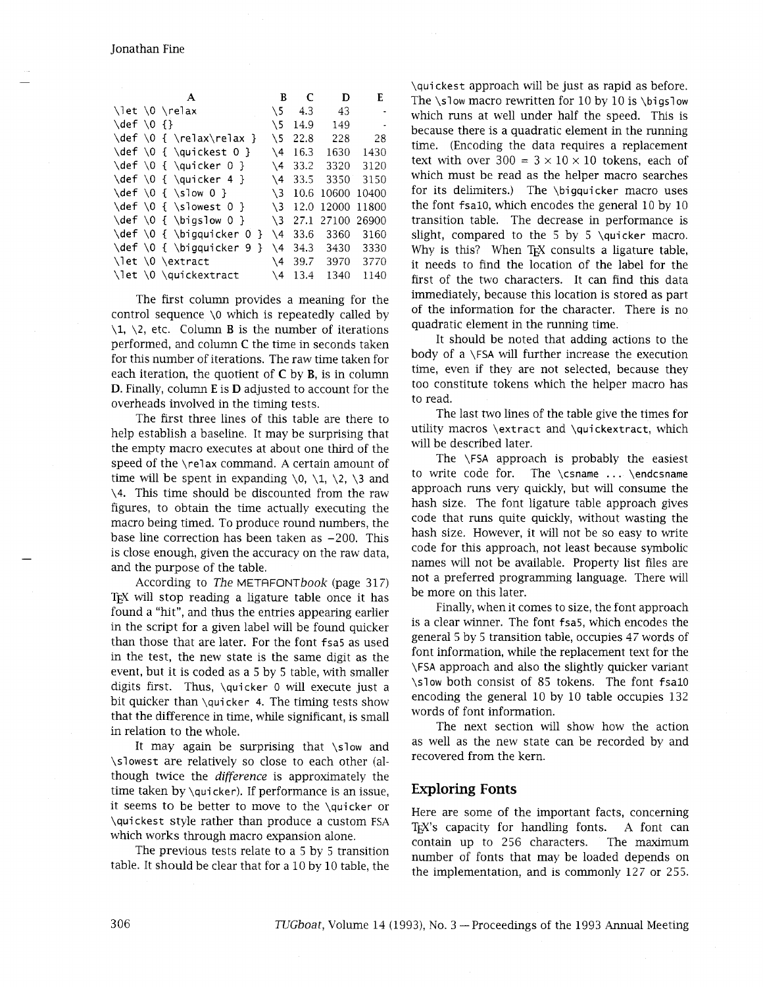|                                  | A                                                               | В             | C    | D           | E      |
|----------------------------------|-----------------------------------------------------------------|---------------|------|-------------|--------|
|                                  | \let \0 \relax                                                  | $\sqrt{5}$    | -4.3 | 43          |        |
| $\left\{ \text{def } 0 \right\}$ |                                                                 | \ 5           | 14.9 | 149         | $\sim$ |
|                                  | \def \0 { \relax\relax }                                        | \5            | 22.8 | 228         | 28     |
|                                  | $\def \0 {\$ { \quickest 0 }                                    | \4            | 16.3 | 1630        | 1430   |
|                                  | $\left\{ \begin{array}{cc} 0 & 1 \\ 0 & 1 \end{array} \right\}$ | \4            | 33.2 | 3320        | 3120   |
|                                  | $\def \0 {\$ } \quad \{ \quicker 4 \}                           | \4            | 33.5 | 3350        | 3150   |
|                                  | $\left\{ \left( 0 \right) \right\}$                             | $\setminus$ 3 | 10.6 | 10600 10400 |        |
|                                  | $\def \0 {\$ } \simeq                                           | \3            | 12.0 | 12000 11800 |        |
|                                  | \def \0 { \bigslow 0 }                                          | \3            | 27.1 | 27100 26900 |        |
|                                  | \def \0 { \bigquicker 0 }                                       | \4            | 33.6 | 3360        | 3160   |
|                                  | $\def \0 \{ \big\}$                                             | \4            | 34.3 | 3430        | 3330   |
|                                  | \let \0 \extract                                                | \4            | 39.7 | 3970        | 3770   |
|                                  | \let \0 \quickextract                                           | \4            | 13.4 | 1340        | 1140   |

The first column provides a meaning for the control sequence  $\lozenge$  which is repeatedly called by  $\setminus$ 1,  $\setminus$ 2, etc. Column **B** is the number of iterations performed, and column **C** the time in seconds taken for this number of iterations. The raw time taken for each iteration, the quotient of  $C$  by  $B$ , is in column D. Finally, column E is D adjusted to account for the overheads involved in the timing tests.

The first three lines of this table are there to help establish a baseline. It may be surprising that the empty macro executes at about one third of the speed of the \relax command. A certain amount of time will be spent in expanding  $\setminus 0$ ,  $\setminus 1$ ,  $\setminus 2$ ,  $\setminus 3$  and \4. This time should be discounted from the raw figures, to obtain the time actually executing the macro being timed. To produce round numbers, the base line correction has been taken as  $-200$ . This is close enough, given the accuracy on the raw data, and the purpose of the table.

According to The METAFONTbook (page 317) TEX will stop reading a ligature table once it has found a "hit", and thus the entries appearing earlier in the script for a given label will be found quicker than those that are later. For the font fsa5 as used in the test, the new state is the same digit as the event, but it is coded as a *5* by *5* table, with smaller digits first. Thus, \quicker 0 will execute just a bit quicker than \quicker 4. The timing tests show that the difference in time, while significant, is small in relation to the whole.

It may again be surprising that \slow and \slowest are relatively so close to each other (although twice the difference is approximately the time taken by  $\qui$ cker). If performance is an issue, it seems to be better to move to the \quicker or \quickest style rather than produce a custom FSA which works through macro expansion alone.

The previous tests relate to a *5* by *5* transition table. It should be clear that for a 10 by 10 table, the \quickest approach will be just as rapid as before. The  $\simeq$  macro rewritten for 10 by 10 is  $\big\$ igslow which runs at well under half the speed. This is because there is a quadratic element in the running time. (Encoding the data requires a replacement text with over  $300 = 3 \times 10 \times 10$  tokens, each of which must be read as the helper macro searches for its delimiters.) The \bigquicker macro uses the font fsal0, which encodes the general 10 by 10 transition table. The decrease in performance is slight, compared to the 5 by 5 \quicker macro. Why is this? When T<sub>F</sub>X consults a ligature table, it needs to find the location of the label for the first of the two characters. It can find this data immediately, because this location is stored as part of the information for the character. There is no quadratic element in the running time.

It should be noted that adding actions to the body of a \FSA will further increase the execution time, even if they are not selected, because they too constitute tokens whlch the helper macro has to read.

The last two lines of the table give the times for utility macros \extract and \quickextract, which will be described later.

The \FSA approach is probably the easiest to write code for. The \csname . . . \endcsname approach runs very quickly, but will consume the hash size. The font ligature table approach gives code that runs quite quickly, without wasting the hash size. However, it will not be so easy to write code for this approach, not least because symbolic names will not be available. Property list files are not a preferred programming language. There will be more on this later.

Finally, when it comes to size, the font approach is a clear winner. The font fsa5, which encodes the general *5* by *5* transition table, occupies 47 words of font information, while the replacement text for the \FSA approach and also the slightly quicker variant \slow both consist of 85 tokens. The font fsa10 encoding the general 10 by 10 table occupies 132 words of font information.

The next section will show how the action as well as the new state can be recorded by and recovered from the kern.

## **Exploring Fonts**

Here are some of the important facts, concerning TEX's capacity for handling fonts. A font can contain up to 256 characters. The maximum number of fonts that may be loaded depends on the implementation, and is commonly 127 or 255.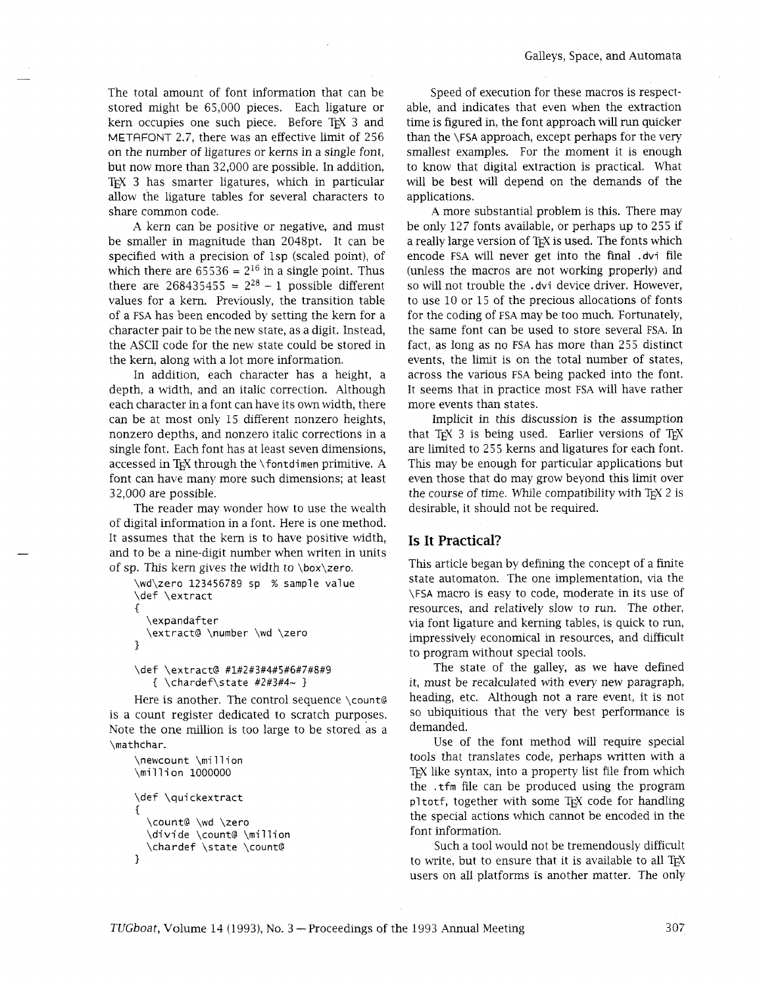The total amount of font information that can be stored might be 65,000 pieces. Each ligature or kern occupies one such piece. Before TFX 3 and METAFONT 2.7, there was an effective limit of 256 on the number of ligatures or kerns in a single font, but now more than 32,000 are possible. In addition, T<sub>EX</sub> 3 has smarter ligatures, which in particular allow the ligature tables for several characters to share common code.

A kern can be positive or negative, and must be smaller in magnitude than 2048pt. It can be specified with a precision of 1sp (scaled point), of which there are  $65536 = 2^{16}$  in a single point. Thus there are  $268435455 = 2^{28} - 1$  possible different values for a kern. Previously, the transition table of a **FSA** has been encoded by setting the kern for a character pair to be the new state, as a digit. Instead, the ASCII code for the new state could be stored in the kern, along with a lot more information.

In addition, each character has a height, a depth, a width, and an italic correction. Although each character in a font can have its own width, there can be at most only 15 different nonzero heights, nonzero depths, and nonzero italic corrections in a single font. Each font has at least seven dimensions, accessed in T<sub>F</sub>X through the \fontdimen primitive. A font can have many more such dimensions; at least 32,000 are possible.

The reader may wonder how to use the wealth of digital information in a font. Here is one method. It assumes that the kern is to have positive width, and to be a nine-digit number when writen in units of sp. This kern gives the width to  $\boxtimes x$ ero.

```
\wd\zero 123456789 sp % sample value 
\def \extract 
I 
  \expandafter
  \extract@ \number \wd \zero
\mathcal{E}
```

```
\def \extract@ #1#2#3#4#5#6#7#8#9
   { \chardef\state #2#3#4~}
```
Here is another. The control sequence \count@ is a count register dedicated to scratch purposes. Note the one million is too large to be stored as a \mathchar.

```
nchar.<br>\<mark>newcount \milli</mark>c<br>\million 1000000
\newcount \million 
\def \qui ckextract 
{<br>\count@ \wd \zero
  \divide \count@ \million
  \chardef \state \count@
ł
```
Speed of execution for these macros is respectable, and indicates that even when the extraction time is figured in, the font approach will run quicker than the \FSA approach, except perhaps for the very smallest examples. For the moment it is enough to know that digital extraction is practical. What will be best will depend on the demands of the applications.

A more substantial problem is this. There may be only 127 fonts available, or perhaps up to 255 if a really large version of T<sub>F</sub>X is used. The fonts which encode **FSA** will never get into the final .dvi file (unless the macros are not workmg properly) and so will not trouble the .dvi device driver. However, to use 10 or 15 of the precious allocations of fonts for the coding of **FSA** may be too much. Fortunately, the same font can be used to store several **FSA.** In fact, as long as no **FSA** has more than 255 distinct events, the limit is on the total number of states, across the various **FSA** being packed into the font. It seems that in practice most **FSA** will have rather more events than states.

Implicit in this discussion is the assumption that TEX 3 is being used. Earlier versions of TEX are limited to 255 kerns and ligatures for each font. This may be enough for particular applications but even those that do may grow beyond this limit over the course of time. While compatibility with TEX 2 is desirable, it should not be required.

## **Is It Practical?**

This article began by defining the concept of a finite state automaton. The one implementation, via the \FSA macro is easy to code, moderate in its use of resources, and relatively slow to run. The other, via font ligature and kerning tables, is quick to run, impressively economical in resources, and difficult to program without special tools.

The state of the galley, as we have defined it, must be recalculated with every new paragraph, heading, etc. Although not a rare event, it is not so ubiquitious that the very best performance is demanded.

Use of the font method will require special tools that translates code, perhaps written with a T<sub>EX</sub> like syntax, into a property list file from which the . tfm file can be produced using the program pltotf, together with some TEX code for handling the special actions which cannot be encoded in the font information.

Such a tool would not be tremendously difficult to write, but to ensure that it is available to all TEX users on all platforms is another matter. The only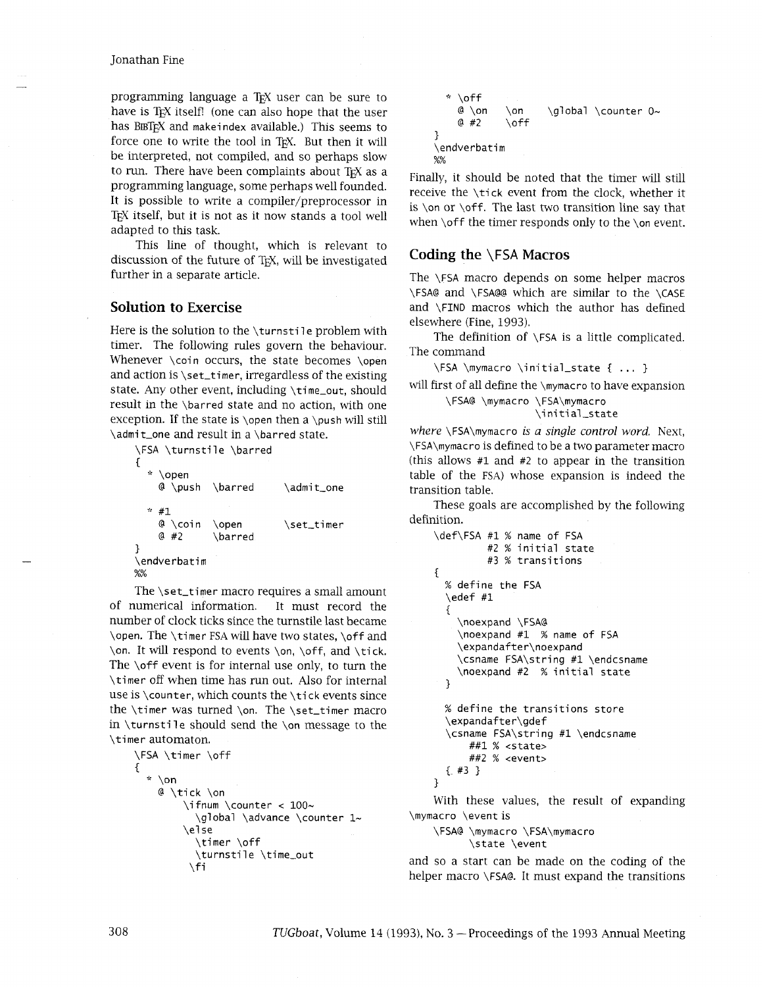#### Jonathan Fine

programming language a TFX user can be sure to have is T<sub>F</sub>X itself! (one can also hope that the user has BBTEX and makeindex available.) This seems to force one to write the tool in TEX. But then it will be interpreted, not compiled, and so perhaps slow to run. There have been complaints about TEX as a programming language, some perhaps well founded. It is possible to write a compiler/preprocessor in TEX itself, but it is not as it now stands a tool well adapted to this task.

This line of thought, which is relevant to discussion of the future of TEX, will be investigated further in a separate article.

### **Solution to Exercise**

Here is the solution to the \turnstile problem with timer. The following rules govern the behaviour. Whenever \coin occurs, the state becomes \open and action is  $\setminus$  set\_timer, irregardless of the existing state. Any other event, including \time\_out, should result in the \barred state and no action, with one exception. If the state is \open then a \push will still \admi t-one and result in a \barred state.

```
\FSA \turnstile \barred 
\left\{ \right.* \open<br>@ \push
               \barred \admit_one
  * #1
    @ \coin
               \open
                              \set_timer
    @#2\barred
\endverbatim
%%
```
The \set\_timer macro requires a small amount of numerical information. It must record the number of clock ticks since the turnstile last became \open. The \timer FSA will have two states, \off and \on. It will respond to events \on, \off, and \tick. The \off event is for internal use only, to turn the \timer off when time has run out. Also for internal use is \counter, which counts the \tick events since the \timer was turned \on. The \set-timer macro in \turnstile should send the \on message to the \timer automaton.

```
\FSA \timer \off 
{ 
  * \on 
     @ \tick \on 
           \ifnum \counter < 100- 
             \global \advance \counter 1~
           \else 
             \timer \off 
             \turnstile \time_out<br>\turnstile \time_out<br>\fi
```

```
* \off<br>@ \on
       @ \on \ \ \on \ \ on \ \ \ \gtrsim \ \cong 42 \ \ \of \ \#2 \ \ of \\setminusoff
\}\endverbati m 
%%
```
Finally, it should be noted that the timer will still receive the \tick event from the clock, whether it is  $\on$  or  $\of$ . The last two transition line say that when \off the timer responds only to the \on event.

## **Coding the \FSA Macros**

The \FSA macro depends on some helper macros \FSA@ and \FSA@@ which are similar to the \CASE and \FIND macros which the author has defined elsewhere (Fine, 1993).

The definition of \FSA is a little complicated. The command

\FSA \mymacro \initial-state { . . . }

will first of all define the \mymacro to have expansion \FSA@ \mymacro \FSA\mymacro

\ini tial-state

*where* \FSA\mymacro **is** *a single control word.* Next, \FSA\mymacro is defined to be a two parameter macro (this allows  $#1$  and  $#2$  to appear in the transition table of the FSA) whose expansion is indeed the transition table.

These goals are accomplished by the following definition.

```
\def\FSA #1 % name of FSA 
          #2 % initial state 
         #3 % transitions 
\mathbf{f}% define the FSA 
  \edef #1 
  \{\noexpand \FSA@ 
    \noexpand #1 % name of FSA 
    \expandafter\noexpand 
    \csname FSA\string #1 \endcsname 
    \noexpand #2 % initial state 
  1 
  % define the transitions store 
  \expandafter\gdef 
  \csname FSA\string #1 \endcsname
      ##I % <state> 
      ##2 % <event> 
  {. #3 1 
1
```
With these values, the result of expanding \mymacro \event is

\FSA@ \mymacro \FSA\mymacro \state \event

and so a start can be made on the coding of the helper macro \FSA@. It must expand the transitions